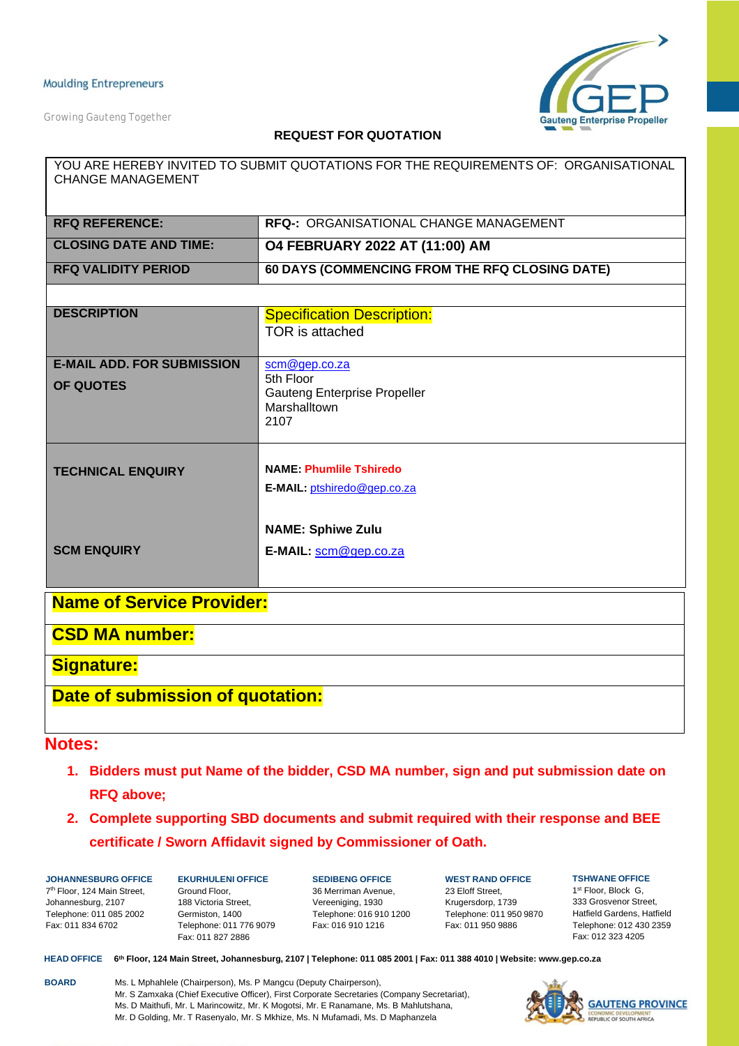*Growing Gauteng Together*



### **REQUEST FOR QUOTATION**

| YOU ARE HEREBY INVITED TO SUBMIT QUOTATIONS FOR THE REQUIREMENTS OF: ORGANISATIONAL<br><b>CHANGE MANAGEMENT</b> |                                                  |  |  |  |  |
|-----------------------------------------------------------------------------------------------------------------|--------------------------------------------------|--|--|--|--|
|                                                                                                                 |                                                  |  |  |  |  |
|                                                                                                                 |                                                  |  |  |  |  |
| <b>RFQ REFERENCE:</b>                                                                                           | <b>RFQ-: ORGANISATIONAL CHANGE MANAGEMENT</b>    |  |  |  |  |
| <b>CLOSING DATE AND TIME:</b>                                                                                   | O4 FEBRUARY 2022 AT (11:00) AM                   |  |  |  |  |
| <b>RFQ VALIDITY PERIOD</b>                                                                                      | 60 DAYS (COMMENCING FROM THE RFQ CLOSING DATE)   |  |  |  |  |
|                                                                                                                 |                                                  |  |  |  |  |
| <b>DESCRIPTION</b>                                                                                              | <b>Specification Description:</b>                |  |  |  |  |
|                                                                                                                 | <b>TOR</b> is attached                           |  |  |  |  |
|                                                                                                                 |                                                  |  |  |  |  |
| <b>E-MAIL ADD. FOR SUBMISSION</b>                                                                               | scm@gep.co.za                                    |  |  |  |  |
| <b>OF QUOTES</b>                                                                                                | 5th Floor<br><b>Gauteng Enterprise Propeller</b> |  |  |  |  |
|                                                                                                                 | Marshalltown                                     |  |  |  |  |
|                                                                                                                 | 2107                                             |  |  |  |  |
|                                                                                                                 |                                                  |  |  |  |  |
| <b>TECHNICAL ENQUIRY</b>                                                                                        | <b>NAME: Phumlile Tshiredo</b>                   |  |  |  |  |
|                                                                                                                 | E-MAIL: ptshiredo@gep.co.za                      |  |  |  |  |
|                                                                                                                 |                                                  |  |  |  |  |
|                                                                                                                 |                                                  |  |  |  |  |
|                                                                                                                 | <b>NAME: Sphiwe Zulu</b>                         |  |  |  |  |
| <b>SCM ENQUIRY</b>                                                                                              | E-MAIL: scm@gep.co.za                            |  |  |  |  |
|                                                                                                                 |                                                  |  |  |  |  |
| <b>Name of Service Provider:</b>                                                                                |                                                  |  |  |  |  |
|                                                                                                                 |                                                  |  |  |  |  |
| <b>CSD MA number:</b>                                                                                           |                                                  |  |  |  |  |
| <b>Signature:</b>                                                                                               |                                                  |  |  |  |  |
| Date of submission of quotation:                                                                                |                                                  |  |  |  |  |

### **Notes:**

- **1. Bidders must put Name of the bidder, CSD MA number, sign and put submission date on RFQ above;**
- **2. Complete supporting SBD documents and submit required with their response and BEE certificate / Sworn Affidavit signed by Commissioner of Oath.**

**JOHANNESBURG OFFICE** 7th Floor, 124 Main Street, Johannesburg, 2107 Telephone: 011 085 2002 Fax: 011 834 6702

**EKURHULENI OFFICE** Ground Floor, 188 Victoria Street, Germiston, 1400 Telephone: 011 776 9079 Fax: 011 827 2886

**SEDIBENG OFFICE** 36 Merriman Avenue, Vereeniging, 1930 Telephone: 016 910 1200 Fax: 016 910 1216

**WEST RAND OFFICE** 23 Eloff Street, Krugersdorp, 1739 Telephone: 011 950 9870 Fax: 011 950 9886

**TSHWANE OFFICE** 1st Floor, Block G, 333 Grosvenor Street, Hatfield Gardens, Hatfield Telephone: 012 430 2359 Fax: 012 323 4205

HEAD OFFICE 6th Floor, 124 Main Street, Johannesburg, 2107 | Telephone: 011 085 2001 | Fax: 011 388 4010 | Website: [www.gep.co.za](http://www.gep.co.za/)

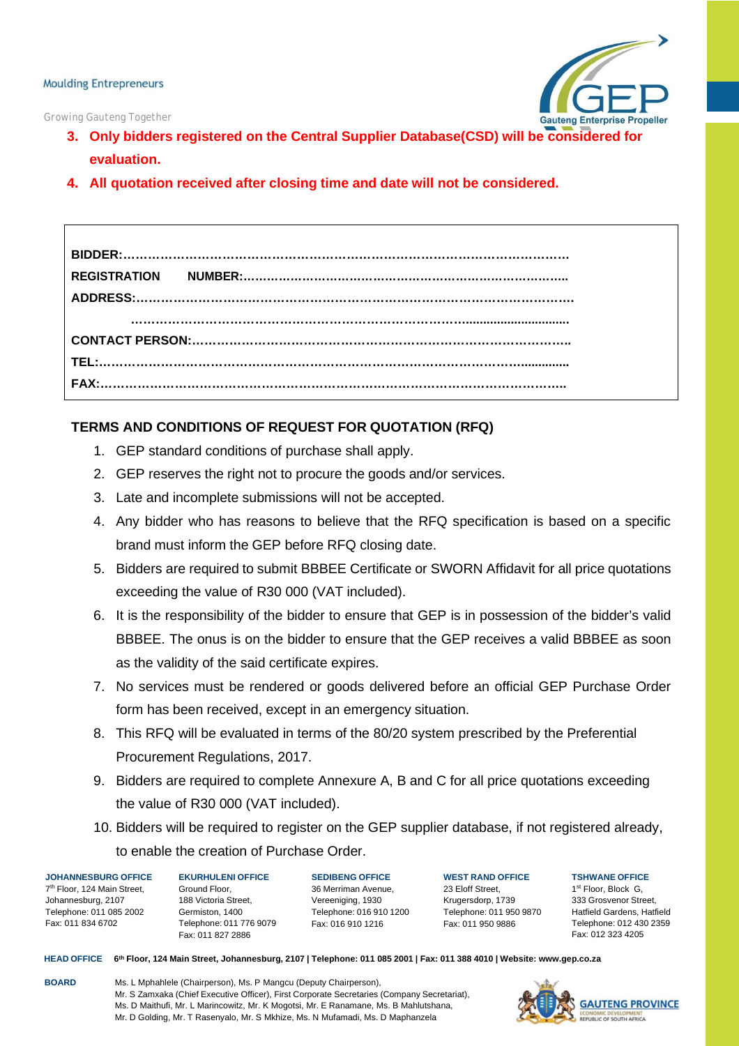



- **3. Only bidders registered on the Central Supplier Database(CSD) will be considered for evaluation.**
- **4. All quotation received after closing time and date will not be considered.**

## **TERMS AND CONDITIONS OF REQUEST FOR QUOTATION (RFQ)**

- 1. GEP standard conditions of purchase shall apply.
- 2. GEP reserves the right not to procure the goods and/or services.
- 3. Late and incomplete submissions will not be accepted.
- 4. Any bidder who has reasons to believe that the RFQ specification is based on a specific brand must inform the GEP before RFQ closing date.
- 5. Bidders are required to submit BBBEE Certificate or SWORN Affidavit for all price quotations exceeding the value of R30 000 (VAT included).
- 6. It is the responsibility of the bidder to ensure that GEP is in possession of the bidder's valid BBBEE. The onus is on the bidder to ensure that the GEP receives a valid BBBEE as soon as the validity of the said certificate expires.
- 7. No services must be rendered or goods delivered before an official GEP Purchase Order form has been received, except in an emergency situation.
- 8. This RFQ will be evaluated in terms of the 80/20 system prescribed by the Preferential Procurement Regulations, 2017.
- 9. Bidders are required to complete Annexure A, B and C for all price quotations exceeding the value of R30 000 (VAT included).
- 10. Bidders will be required to register on the GEP supplier database, if not registered already, to enable the creation of Purchase Order.

**JOHANNESBURG OFFICE** 7th Floor, 124 Main Street, Johannesburg, 2107 Telephone: 011 085 2002 Fax: 011 834 6702

**EKURHULENI OFFICE** Ground Floor, 188 Victoria Street, Germiston, 1400 Telephone: 011 776 9079 Fax: 011 827 2886

**SEDIBENG OFFICE** 36 Merriman Avenue, Vereeniging, 1930 Telephone: 016 910 1200 Fax: 016 910 1216

**WEST RAND OFFICE** 23 Eloff Street, Krugersdorp, 1739 Telephone: 011 950 9870 Fax: 011 950 9886

**TSHWANE OFFICE** 1st Floor, Block G, 333 Grosvenor Street, Hatfield Gardens, Hatfield Telephone: 012 430 2359 Fax: 012 323 4205

HEAD OFFICE 6th Floor, 124 Main Street, Johannesburg, 2107 | Telephone: 011 085 2001 | Fax: 011 388 4010 | Website: [www.gep.co.za](http://www.gep.co.za/)

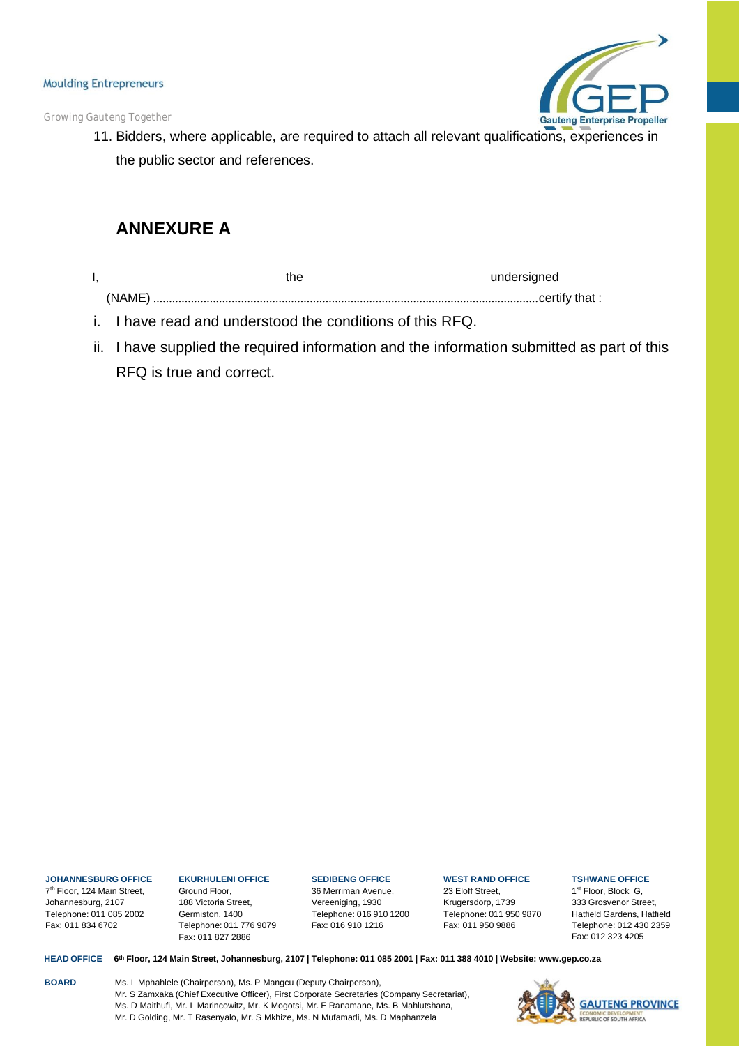*Growing Gauteng Together*



11. Bidders, where applicable, are required to attach all relevant qualifications, experiences in the public sector and references.

# **ANNEXURE A**

| the    | undersigned |
|--------|-------------|
| (NAME) |             |

- i. I have read and understood the conditions of this RFQ.
- ii. I have supplied the required information and the information submitted as part of this RFQ is true and correct.

### **JOHANNESBURG OFFICE**

7th Floor, 124 Main Street, Johannesburg, 2107 Telephone: 011 085 2002 Fax: 011 834 6702

#### **EKURHULENI OFFICE** Ground Floor, 188 Victoria Street, Germiston, 1400 Telephone: 011 776 9079

Fax: 011 827 2886

# **SEDIBENG OFFICE**

36 Merriman Avenue, Vereeniging, 1930 Telephone: 016 910 1200 Fax: 016 910 1216

### **WEST RAND OFFICE**

23 Eloff Street, Krugersdorp, 1739 Telephone: 011 950 9870 Fax: 011 950 9886

### **TSHWANE OFFICE**

1st Floor, Block G, 333 Grosvenor Street, Hatfield Gardens, Hatfield Telephone: 012 430 2359 Fax: 012 323 4205

HEAD OFFICE 6th Floor, 124 Main Street, Johannesburg, 2107 | Telephone: 011 085 2001 | Fax: 011 388 4010 | Website: [www.gep.co.za](http://www.gep.co.za/)

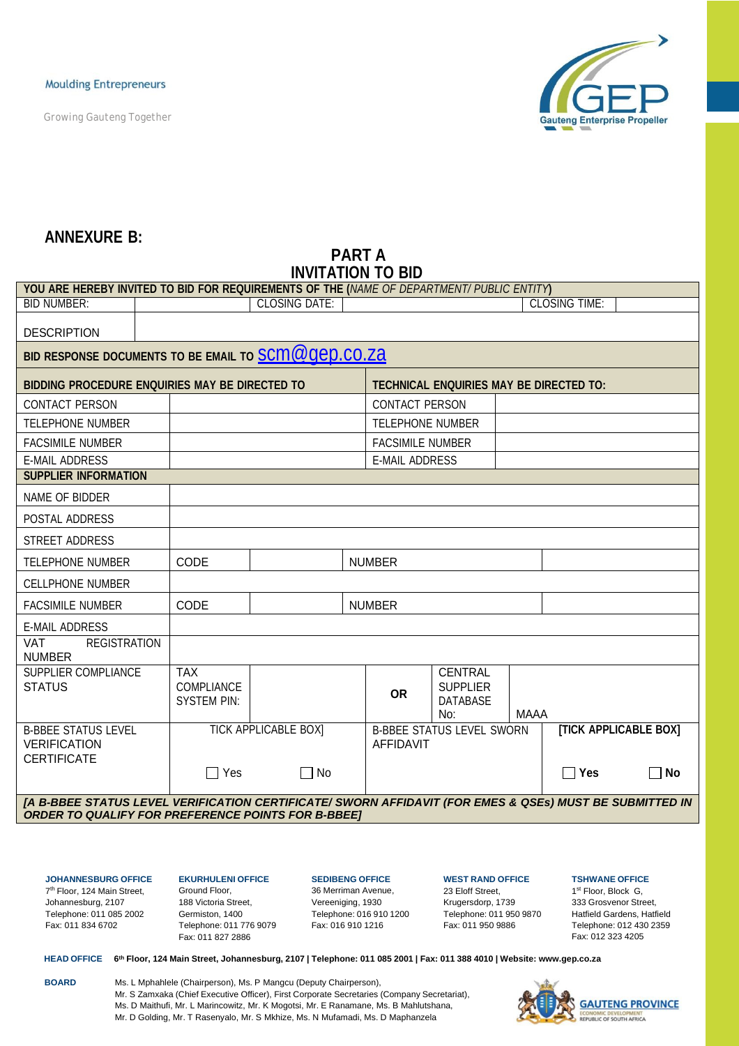*Growing Gauteng Together*



## **ANNEXURE B:**

# **PART A INVITATION TO BID**

| YOU ARE HEREBY INVITED TO BID FOR REQUIREMENTS OF THE (NAME OF DEPARTMENT/ PUBLIC ENTITY)                                                                            |                                                       |                             |  |                         |                                                             |      |                              |             |
|----------------------------------------------------------------------------------------------------------------------------------------------------------------------|-------------------------------------------------------|-----------------------------|--|-------------------------|-------------------------------------------------------------|------|------------------------------|-------------|
| <b>BID NUMBER:</b>                                                                                                                                                   |                                                       | <b>CLOSING DATE:</b>        |  |                         |                                                             |      | <b>CLOSING TIME:</b>         |             |
| <b>DESCRIPTION</b>                                                                                                                                                   |                                                       |                             |  |                         |                                                             |      |                              |             |
| BID RESPONSE DOCUMENTS TO BE EMAIL TO <b>SCM @ Qep.co.za</b>                                                                                                         |                                                       |                             |  |                         |                                                             |      |                              |             |
| BIDDING PROCEDURE ENQUIRIES MAY BE DIRECTED TO                                                                                                                       |                                                       |                             |  |                         | TECHNICAL ENQUIRIES MAY BE DIRECTED TO:                     |      |                              |             |
| <b>CONTACT PERSON</b>                                                                                                                                                |                                                       |                             |  | <b>CONTACT PERSON</b>   |                                                             |      |                              |             |
| <b>TELEPHONE NUMBER</b>                                                                                                                                              |                                                       |                             |  | <b>TELEPHONE NUMBER</b> |                                                             |      |                              |             |
| <b>FACSIMILE NUMBER</b>                                                                                                                                              |                                                       |                             |  | <b>FACSIMILE NUMBER</b> |                                                             |      |                              |             |
| <b>E-MAIL ADDRESS</b>                                                                                                                                                |                                                       |                             |  | <b>E-MAIL ADDRESS</b>   |                                                             |      |                              |             |
| <b>SUPPLIER INFORMATION</b>                                                                                                                                          |                                                       |                             |  |                         |                                                             |      |                              |             |
| NAME OF BIDDER                                                                                                                                                       |                                                       |                             |  |                         |                                                             |      |                              |             |
| POSTAL ADDRESS                                                                                                                                                       |                                                       |                             |  |                         |                                                             |      |                              |             |
| STREET ADDRESS                                                                                                                                                       |                                                       |                             |  |                         |                                                             |      |                              |             |
| <b>TELEPHONE NUMBER</b>                                                                                                                                              | CODE                                                  |                             |  | <b>NUMBER</b>           |                                                             |      |                              |             |
| <b>CELLPHONE NUMBER</b>                                                                                                                                              |                                                       |                             |  |                         |                                                             |      |                              |             |
| <b>FACSIMILE NUMBER</b>                                                                                                                                              | CODE                                                  |                             |  | <b>NUMBER</b>           |                                                             |      |                              |             |
| <b>E-MAIL ADDRESS</b>                                                                                                                                                |                                                       |                             |  |                         |                                                             |      |                              |             |
| <b>VAT</b><br><b>REGISTRATION</b><br><b>NUMBER</b>                                                                                                                   |                                                       |                             |  |                         |                                                             |      |                              |             |
| SUPPLIER COMPLIANCE<br><b>STATUS</b>                                                                                                                                 | <b>TAX</b><br><b>COMPLIANCE</b><br><b>SYSTEM PIN:</b> |                             |  | <b>OR</b>               | <b>CENTRAL</b><br><b>SUPPLIER</b><br><b>DATABASE</b><br>No: | MAAA |                              |             |
| <b>B-BBEE STATUS LEVEL</b><br><b>VERIFICATION</b><br><b>CERTIFICATE</b>                                                                                              |                                                       | <b>TICK APPLICABLE BOXI</b> |  | <b>AFFIDAVIT</b>        | <b>B-BBEE STATUS LEVEL SWORN</b>                            |      | <b>[TICK APPLICABLE BOX]</b> |             |
|                                                                                                                                                                      | $\Box$ Yes                                            | $\Box$ No                   |  |                         |                                                             |      | $\Box$ Yes                   | $\sqcap$ No |
| [A B-BBEE STATUS LEVEL VERIFICATION CERTIFICATE/ SWORN AFFIDAVIT (FOR EMES & QSEs) MUST BE SUBMITTED IN<br><b>ORDER TO QUALIFY FOR PREFERENCE POINTS FOR B-BBEET</b> |                                                       |                             |  |                         |                                                             |      |                              |             |

**JOHANNESBURG OFFICE** 7th Floor, 124 Main Street, Johannesburg, 2107

Telephone: 011 085 2002 Fax: 011 834 6702

#### **EKURHULENI OFFICE** Ground Floor, 188 Victoria Street, Germiston, 1400 Telephone: 011 776 9079 Fax: 011 827 2886

**SEDIBENG OFFICE** 36 Merriman Avenue, Vereeniging, 1930 Telephone: 016 910 1200 Fax: 016 910 1216

### **WEST RAND OFFICE** 23 Eloff Street,

Krugersdorp, 1739 Telephone: 011 950 9870 Fax: 011 950 9886

**TSHWANE OFFICE**

1st Floor, Block G, 333 Grosvenor Street, Hatfield Gardens, Hatfield Telephone: 012 430 2359 Fax: 012 323 4205

HEAD OFFICE 6th Floor, 124 Main Street, Johannesburg, 2107 | Telephone: 011 085 2001 | Fax: 011 388 4010 | Website: [www.gep.co.za](http://www.gep.co.za/)

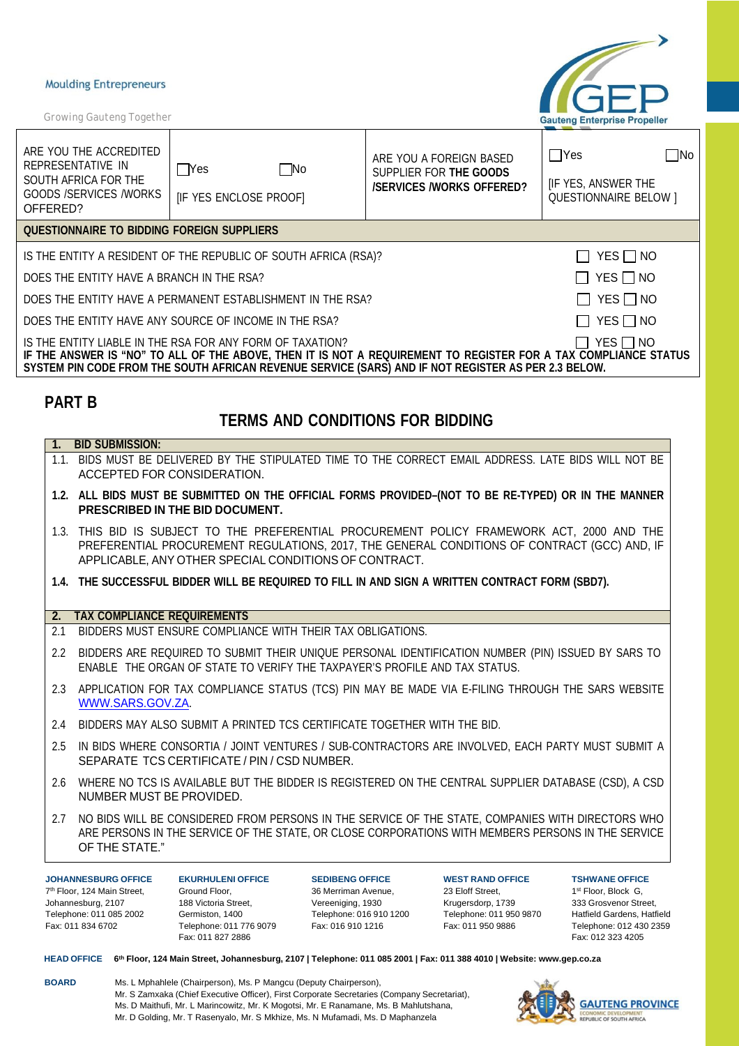*Growing Gauteng Together*



| ARE YOU THE ACCREDITED<br>REPRESENTATIVE IN<br>SOUTH AFRICA FOR THE<br><b>GOODS /SERVICES /WORKS</b><br>OFFERED?                                                                                                                                                                                       | $\square$ No<br> Yes<br>[IF YES ENCLOSE PROOF]                  | ARE YOU A FOREIGN BASED<br>SUPPLIER FOR THE GOODS<br><b>/SERVICES /WORKS OFFERED?</b> | $\sqcap$ Yes<br> No<br><b>IF YES, ANSWER THE</b><br><b>QUESTIONNAIRE BELOW 1</b> |  |  |
|--------------------------------------------------------------------------------------------------------------------------------------------------------------------------------------------------------------------------------------------------------------------------------------------------------|-----------------------------------------------------------------|---------------------------------------------------------------------------------------|----------------------------------------------------------------------------------|--|--|
| QUESTIONNAIRE TO BIDDING FOREIGN SUPPLIERS                                                                                                                                                                                                                                                             |                                                                 |                                                                                       |                                                                                  |  |  |
|                                                                                                                                                                                                                                                                                                        | IS THE ENTITY A RESIDENT OF THE REPUBLIC OF SOUTH AFRICA (RSA)? |                                                                                       | YES $\Box$ NO                                                                    |  |  |
| DOES THE ENTITY HAVE A BRANCH IN THE RSA?                                                                                                                                                                                                                                                              |                                                                 |                                                                                       | $YES \Box NO$                                                                    |  |  |
| $YES \Box NO$<br>DOES THE ENTITY HAVE A PERMANENT ESTABLISHMENT IN THE RSA?                                                                                                                                                                                                                            |                                                                 |                                                                                       |                                                                                  |  |  |
| DOES THE ENTITY HAVE ANY SOURCE OF INCOME IN THE RSA?<br>YES I INO                                                                                                                                                                                                                                     |                                                                 |                                                                                       |                                                                                  |  |  |
| IS THE ENTITY LIABLE IN THE RSA FOR ANY FORM OF TAXATION?<br>$YES$ $\Box$ NO<br>IF THE ANSWER IS "NO" TO ALL OF THE ABOVE, THEN IT IS NOT A REQUIREMENT TO REGISTER FOR A TAX COMPLIANCE STATUS<br>SYSTEM PIN CODE FROM THE SOUTH AFRICAN REVENUE SERVICE (SARS) AND IF NOT REGISTER AS PER 2.3 BELOW. |                                                                 |                                                                                       |                                                                                  |  |  |
| <b>PART B</b><br><b>TERMS AND CONDITIONS FOR BIDDING</b>                                                                                                                                                                                                                                               |                                                                 |                                                                                       |                                                                                  |  |  |
| <b>BID SUBMISSION:</b>                                                                                                                                                                                                                                                                                 |                                                                 |                                                                                       |                                                                                  |  |  |

- 1.1. BIDS MUST BE DELIVERED BY THE STIPULATED TIME TO THE CORRECT EMAIL ADDRESS. LATE BIDS WILL NOT BE ACCEPTED FOR CONSIDERATION.
- **1.2. ALL BIDS MUST BE SUBMITTED ON THE OFFICIAL FORMS PROVIDED–(NOT TO BE RE-TYPED) OR IN THE MANNER PRESCRIBED IN THE BID DOCUMENT.**
- 1.3. THIS BID IS SUBJECT TO THE PREFERENTIAL PROCUREMENT POLICY FRAMEWORK ACT, 2000 AND THE PREFERENTIAL PROCUREMENT REGULATIONS, 2017, THE GENERAL CONDITIONS OF CONTRACT (GCC) AND, IF APPLICABLE, ANY OTHER SPECIAL CONDITIONS OF CONTRACT.
- **1.4. THE SUCCESSFUL BIDDER WILL BE REQUIRED TO FILL IN AND SIGN A WRITTEN CONTRACT FORM (SBD7).**

### **2. TAX COMPLIANCE REQUIREMENTS**

- 2.1 BIDDERS MUST ENSURE COMPLIANCE WITH THEIR TAX OBLIGATIONS.
- 2.2 BIDDERS ARE REQUIRED TO SUBMIT THEIR UNIQUE PERSONAL IDENTIFICATION NUMBER (PIN) ISSUED BY SARS TO ENABLE THE ORGAN OF STATE TO VERIFY THE TAXPAYER'S PROFILE AND TAX STATUS.
- 2.3 APPLICATION FOR TAX COMPLIANCE STATUS (TCS) PIN MAY BE MADE VIA E-FILING THROUGH THE SARS WEBSITE [WWW.SARS.GOV.ZA.](http://www.sars.gov.za/)
- 2.4 BIDDERS MAY ALSO SUBMIT A PRINTED TCS CERTIFICATE TOGETHER WITH THE BID.
- 2.5 IN BIDS WHERE CONSORTIA / JOINT VENTURES / SUB-CONTRACTORS ARE INVOLVED, EACH PARTY MUST SUBMIT A SEPARATE TCS CERTIFICATE / PIN / CSD NUMBER.
- 2.6 WHERE NO TCS IS AVAILABLE BUT THE BIDDER IS REGISTERED ON THE CENTRAL SUPPLIER DATABASE (CSD), A CSD NUMBER MUST BE PROVIDED.
- 2.7 NO BIDS WILL BE CONSIDERED FROM PERSONS IN THE SERVICE OF THE STATE, COMPANIES WITH DIRECTORS WHO ARE PERSONS IN THE SERVICE OF THE STATE, OR CLOSE CORPORATIONS WITH MEMBERS PERSONS IN THE SERVICE OF THE STATE."

**JOHANNESBURG OFFICE** 7th Floor, 124 Main Street, Johannesburg, 2107 Telephone: 011 085 2002 Fax: 011 834 6702

**EKURHULENI OFFICE** Ground Floor, 188 Victoria Street, Germiston, 1400 Telephone: 011 776 9079 Fax: 011 827 2886

**SEDIBENG OFFICE** 36 Merriman Avenue, Vereeniging, 1930 Telephone: 016 910 1200 Fax: 016 910 1216

**WEST RAND OFFICE** 23 Eloff Street, Krugersdorp, 1739 Telephone: 011 950 9870 Fax: 011 950 9886

**TSHWANE OFFICE** 1st Floor, Block G. 333 Grosvenor Street, Hatfield Gardens, Hatfield Telephone: 012 430 2359 Fax: 012 323 4205

HEAD OFFICE 6th Floor, 124 Main Street, Johannesburg, 2107 | Telephone: 011 085 2001 | Fax: 011 388 4010 | Website: [www.gep.co.za](http://www.gep.co.za/)

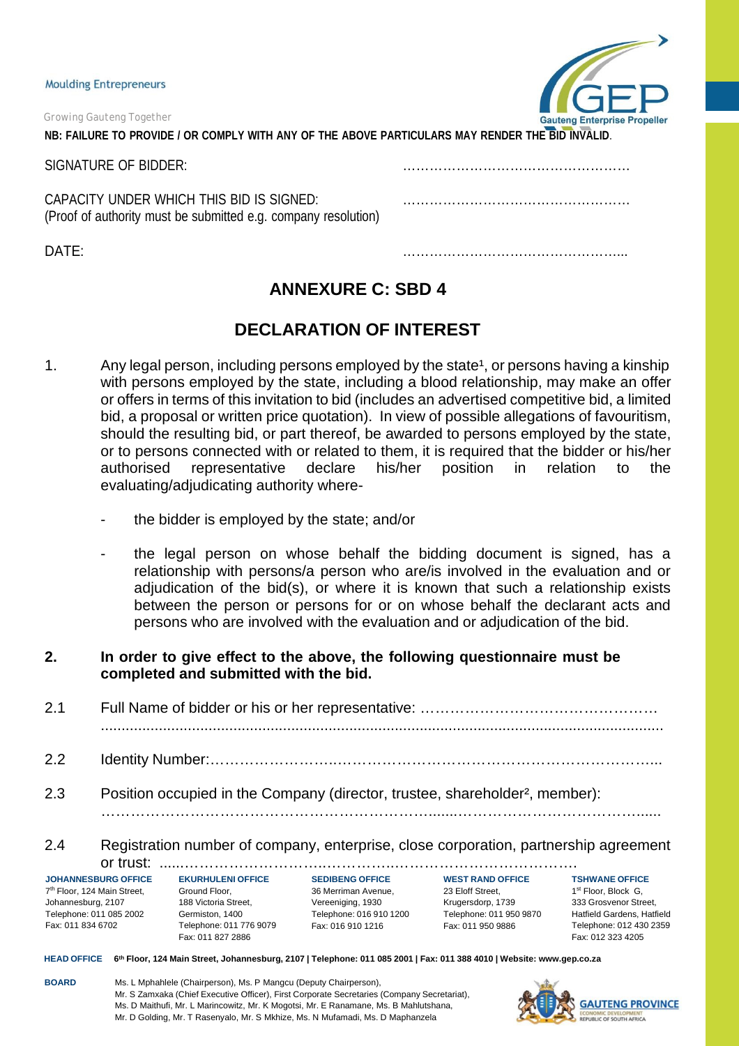*Growing Gauteng Together* **NB: FAILURE TO PROVIDE / OR COMPLY WITH ANY OF THE ABOVE PARTICULARS MAY RENDER THE BID INVALID**.

SIGNATURE OF BIDDER: ……………………………………………

CAPACITY UNDER WHICH THIS BID IS SIGNED: …………………………………………… (Proof of authority must be submitted e.g. company resolution)

DATE: …………………………………………...



**ANNEXURE C: SBD 4**

# **DECLARATION OF INTEREST**

- 1. Any legal person, including persons employed by the state<sup>1</sup>, or persons having a kinship with persons employed by the state, including a blood relationship, may make an offer or offers in terms of this invitation to bid (includes an advertised competitive bid, a limited bid, a proposal or written price quotation). In view of possible allegations of favouritism, should the resulting bid, or part thereof, be awarded to persons employed by the state, or to persons connected with or related to them, it is required that the bidder or his/her authorised representative declare his/her position in relation to the authorised representative declare his/her position in relation to the evaluating/adjudicating authority where
	- the bidder is employed by the state; and/or
	- the legal person on whose behalf the bidding document is signed, has a relationship with persons/a person who are/is involved in the evaluation and or adjudication of the bid(s), or where it is known that such a relationship exists between the person or persons for or on whose behalf the declarant acts and persons who are involved with the evaluation and or adjudication of the bid.
- **2. In order to give effect to the above, the following questionnaire must be completed and submitted with the bid.**
- 2.1 Full Name of bidder or his or her representative: ………………………………………… ........................................................................................................................................
- 2.2 Identity Number:……………………..………………………………………………………...
- 2.3 Position occupied in the Company (director, trustee, shareholder², member):

# 2.4 Registration number of company, enterprise, close corporation, partnership agreement or trust: ......………………………..…………..……………………………….

………………………………………………………….......………………………………......

**JOHANNESBURG OFFICE** 7th Floor, 124 Main Street, Johannesburg, 2107 Telephone: 011 085 2002 Fax: 011 834 6702

**EKURHULENI OFFICE** Ground Floor, 188 Victoria Street, Germiston, 1400 Telephone: 011 776 9079 Fax: 011 827 2886

**SEDIBENG OFFICE** 36 Merriman Avenue, Vereeniging, 1930 Telephone: 016 910 1200 Fax: 016 910 1216

**WEST RAND OFFICE** 23 Eloff Street, Krugersdorp, 1739 Telephone: 011 950 9870 Fax: 011 950 9886

**TSHWANE OFFICE** 1<sup>st</sup> Floor, Block G. 333 Grosvenor Street, Hatfield Gardens, Hatfield Telephone: 012 430 2359 Fax: 012 323 4205

HEAD OFFICE 6th Floor, 124 Main Street, Johannesburg, 2107 | Telephone: 011 085 2001 | Fax: 011 388 4010 | Website: [www.gep.co.za](http://www.gep.co.za/)

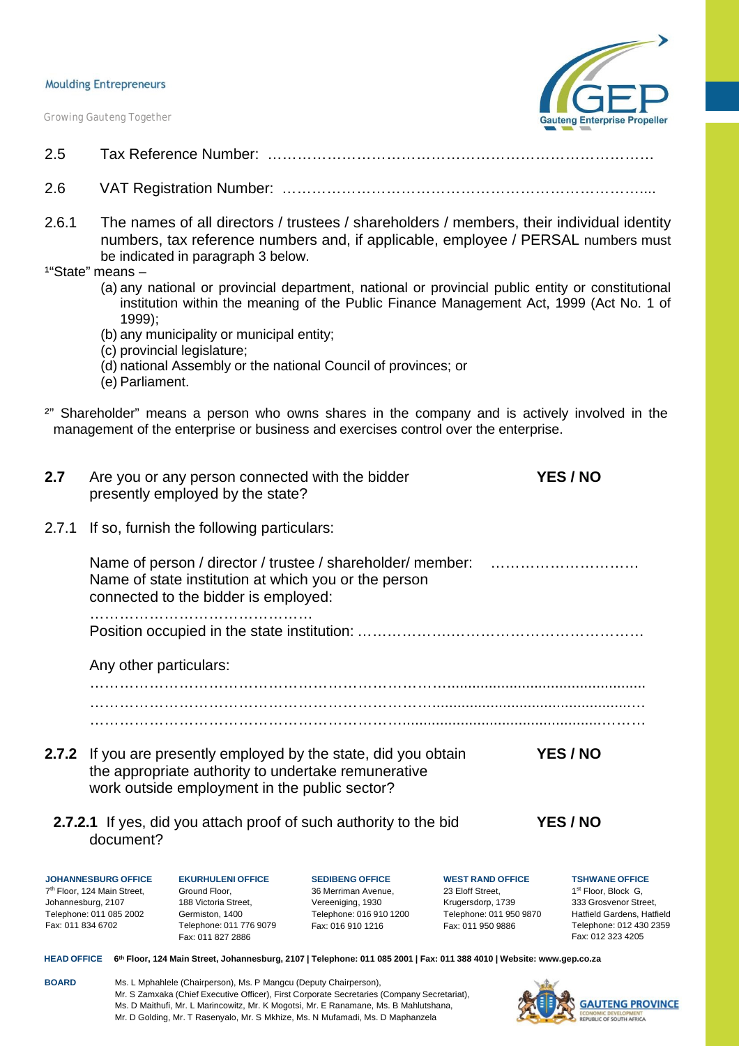*Growing Gauteng Together*



- 2.5 Tax Reference Number: ……………………………………………………………………
- 2.6 VAT Registration Number: ………………………………………………………………....
- 2.6.1 The names of all directors / trustees / shareholders / members, their individual identity numbers, tax reference numbers and, if applicable, employee / PERSAL numbers must be indicated in paragraph 3 below.
- <sup>1</sup>"State" means -

Johannesburg, 2107 Telephone: 011 085 2002 Fax: 011 834 6702

- (a) any national or provincial department, national or provincial public entity or constitutional institution within the meaning of the Public Finance Management Act, 1999 (Act No. 1 of 1999);
- (b) any municipality or municipal entity;
- (c) provincial legislature;
- (d) national Assembly or the national Council of provinces; or
- (e) Parliament.
- <sup>2"</sup> Shareholder" means a person who owns shares in the company and is actively involved in the management of the enterprise or business and exercises control over the enterprise.

| 2.7   |                                                                       | presently employed by the state?              | Are you or any person connected with the bidder                                                                         |                                             | YES / NO                                                 |
|-------|-----------------------------------------------------------------------|-----------------------------------------------|-------------------------------------------------------------------------------------------------------------------------|---------------------------------------------|----------------------------------------------------------|
| 2.7.1 |                                                                       | If so, furnish the following particulars:     |                                                                                                                         |                                             |                                                          |
|       |                                                                       | connected to the bidder is employed:          | Name of person / director / trustee / shareholder/ member:<br>Name of state institution at which you or the person      |                                             |                                                          |
|       |                                                                       |                                               |                                                                                                                         |                                             |                                                          |
|       | Any other particulars:                                                |                                               |                                                                                                                         |                                             |                                                          |
|       |                                                                       |                                               |                                                                                                                         |                                             |                                                          |
|       |                                                                       | work outside employment in the public sector? | 2.7.2 If you are presently employed by the state, did you obtain<br>the appropriate authority to undertake remunerative |                                             | YES / NO                                                 |
|       | document?                                                             |                                               | <b>2.7.2.1</b> If yes, did you attach proof of such authority to the bid                                                |                                             | YES / NO                                                 |
|       | <b>JOHANNESBURG OFFICE</b><br>7 <sup>th</sup> Floor, 124 Main Street, | <b>EKURHULENI OFFICE</b><br>Ground Floor,     | <b>SEDIBENG OFFICE</b><br>36 Merriman Avenue,                                                                           | <b>WEST RAND OFFICE</b><br>23 Eloff Street, | <b>TSHWANE OFFICE</b><br>1 <sup>st</sup> Floor, Block G, |

1st Floor, Block G. 333 Grosvenor Street, Hatfield Gardens, Hatfield Telephone: 012 430 2359 Fax: 012 323 4205

HEAD OFFICE 6th Floor, 124 Main Street, Johannesburg, 2107 | Telephone: 011 085 2001 | Fax: 011 388 4010 | Website: [www.gep.co.za](http://www.gep.co.za/)

Vereeniging, 1930 Telephone: 016 910 1200 Fax: 016 910 1216

Krugersdorp, 1739 Telephone: 011 950 9870 Fax: 011 950 9886

**BOARD** Ms. L Mphahlele (Chairperson), Ms. P Mangcu (Deputy Chairperson), Mr. S Zamxaka (Chief Executive Officer), First Corporate Secretaries (Company Secretariat), Ms. D Maithufi, Mr. L Marincowitz, Mr. K Mogotsi, Mr. E Ranamane, Ms. B Mahlutshana, Mr. D Golding, Mr. T Rasenyalo, Mr. S Mkhize, Ms. N Mufamadi, Ms. D Maphanzela

188 Victoria Street, Germiston, 1400 Telephone: 011 776 9079 Fax: 011 827 2886

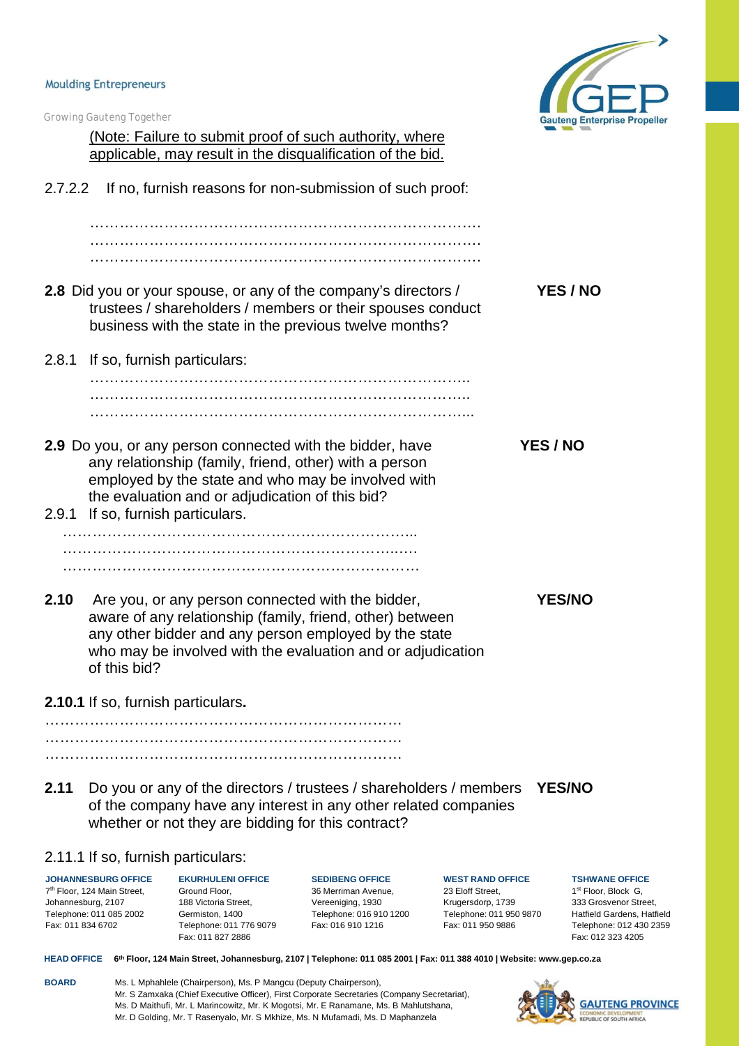Johannesburg, 2107 Telephone: 011 085 2002 Fax: 011 834 6702



|         | <b>Growing Gauteng Together</b>                                       |                                                    |                                                                                                                                                                                                                                        |                                             | <b>Gauteng Enterprise</b>                         |
|---------|-----------------------------------------------------------------------|----------------------------------------------------|----------------------------------------------------------------------------------------------------------------------------------------------------------------------------------------------------------------------------------------|---------------------------------------------|---------------------------------------------------|
|         |                                                                       |                                                    | (Note: Failure to submit proof of such authority, where                                                                                                                                                                                |                                             |                                                   |
|         |                                                                       |                                                    | applicable, may result in the disqualification of the bid.                                                                                                                                                                             |                                             |                                                   |
| 2.7.2.2 |                                                                       |                                                    | If no, furnish reasons for non-submission of such proof:                                                                                                                                                                               |                                             |                                                   |
|         |                                                                       |                                                    |                                                                                                                                                                                                                                        |                                             |                                                   |
|         |                                                                       |                                                    |                                                                                                                                                                                                                                        |                                             |                                                   |
|         |                                                                       |                                                    | 2.8 Did you or your spouse, or any of the company's directors /<br>trustees / shareholders / members or their spouses conduct<br>business with the state in the previous twelve months?                                                |                                             | YES / NO                                          |
| 2.8.1   |                                                                       | If so, furnish particulars:                        |                                                                                                                                                                                                                                        |                                             |                                                   |
|         |                                                                       |                                                    |                                                                                                                                                                                                                                        |                                             |                                                   |
|         |                                                                       |                                                    |                                                                                                                                                                                                                                        |                                             |                                                   |
| 2.9.1   | If so, furnish particulars.                                           | the evaluation and or adjudication of this bid?    | 2.9 Do you, or any person connected with the bidder, have<br>any relationship (family, friend, other) with a person<br>employed by the state and who may be involved with                                                              |                                             | YES / NO                                          |
|         |                                                                       |                                                    |                                                                                                                                                                                                                                        |                                             |                                                   |
|         |                                                                       |                                                    |                                                                                                                                                                                                                                        |                                             |                                                   |
|         |                                                                       |                                                    |                                                                                                                                                                                                                                        |                                             |                                                   |
| 2.10    | of this bid?                                                          |                                                    | Are you, or any person connected with the bidder,<br>aware of any relationship (family, friend, other) between<br>any other bidder and any person employed by the state<br>who may be involved with the evaluation and or adjudication |                                             | <b>YES/NO</b>                                     |
|         | 2.10.1 If so, furnish particulars.                                    |                                                    |                                                                                                                                                                                                                                        |                                             |                                                   |
|         |                                                                       |                                                    |                                                                                                                                                                                                                                        |                                             |                                                   |
|         |                                                                       |                                                    |                                                                                                                                                                                                                                        |                                             |                                                   |
| 2.11    |                                                                       | whether or not they are bidding for this contract? | Do you or any of the directors / trustees / shareholders / members<br>of the company have any interest in any other related companies                                                                                                  |                                             | <b>YES/NO</b>                                     |
|         | 2.11.1 If so, furnish particulars:                                    |                                                    |                                                                                                                                                                                                                                        |                                             |                                                   |
|         | <b>JOHANNESBURG OFFICE</b><br>7 <sup>th</sup> Floor, 124 Main Street, | <b>EKURHULENI OFFICE</b><br>Ground Floor,          | <b>SEDIBENG OFFICE</b><br>36 Merriman Avenue,                                                                                                                                                                                          | <b>WEST RAND OFFICE</b><br>23 Eloff Street, | <b>TSHWANE OF</b><br>1 <sup>st</sup> Floor, Block |

**FFICE** 1st Floor, Block G, 333 Grosvenor Street, Hatfield Gardens, Hatfield Telephone: 012 430 2359 Fax: 012 323 4205

HEAD OFFICE 6th Floor, 124 Main Street, Johannesburg, 2107 | Telephone: 011 085 2001 | Fax: 011 388 4010 | Website: [www.gep.co.za](http://www.gep.co.za/)

Vereeniging, 1930 Telephone: 016 910 1200 Fax: 016 910 1216

Krugersdorp, 1739 Telephone: 011 950 9870 Fax: 011 950 9886

**BOARD** Ms. L Mphahlele (Chairperson), Ms. P Mangcu (Deputy Chairperson), Mr. S Zamxaka (Chief Executive Officer), First Corporate Secretaries (Company Secretariat), Ms. D Maithufi, Mr. L Marincowitz, Mr. K Mogotsi, Mr. E Ranamane, Ms. B Mahlutshana, Mr. D Golding, Mr. T Rasenyalo, Mr. S Mkhize, Ms. N Mufamadi, Ms. D Maphanzela

188 Victoria Street, Germiston, 1400 Telephone: 011 776 9079 Fax: 011 827 2886

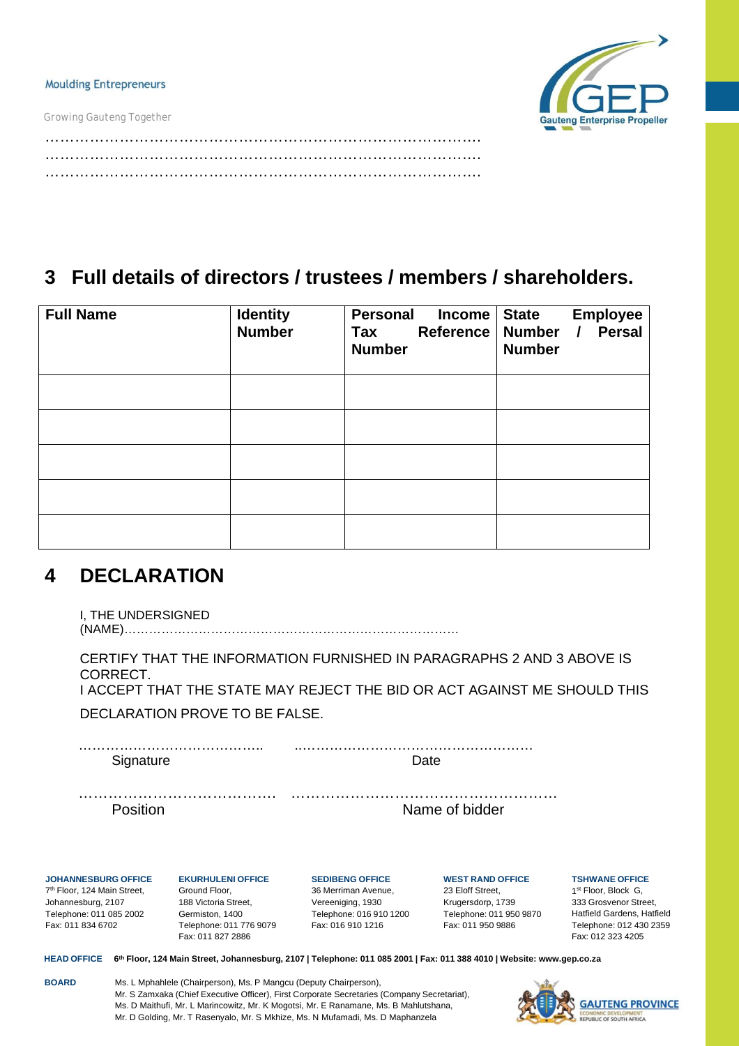*Growing Gauteng Together*



……………………………………………………………………………. ……………………………………………………………………………. …………………………………………………………………………….

# **3 Full details of directors / trustees / members / shareholders.**

| <b>Full Name</b> | <b>Identity</b><br><b>Number</b> | <b>Personal</b><br>Income<br>Reference<br>Tax<br><b>Number</b> | <b>Employee</b><br><b>State</b><br>Number / Persal<br><b>Number</b> |
|------------------|----------------------------------|----------------------------------------------------------------|---------------------------------------------------------------------|
|                  |                                  |                                                                |                                                                     |
|                  |                                  |                                                                |                                                                     |
|                  |                                  |                                                                |                                                                     |
|                  |                                  |                                                                |                                                                     |
|                  |                                  |                                                                |                                                                     |

# **4 DECLARATION**

I, THE UNDERSIGNED

(NAME)………………………………………………………………………

CERTIFY THAT THE INFORMATION FURNISHED IN PARAGRAPHS 2 AND 3 ABOVE IS CORRECT. I ACCEPT THAT THE STATE MAY REJECT THE BID OR ACT AGAINST ME SHOULD THIS

DECLARATION PROVE TO BE FALSE.

………………………………….. ..…………………………………………… Signature Date

…………………………………. ………………………………………………

Position **Name of bidder** 

**JOHANNESBURG OFFICE** 7th Floor, 124 Main Street, Johannesburg, 2107 Telephone: 011 085 2002

Fax: 011 834 6702

**EKURHULENI OFFICE** Ground Floor, 188 Victoria Street, Germiston, 1400 Telephone: 011 776 9079 Fax: 011 827 2886

**SEDIBENG OFFICE** 36 Merriman Avenue, Vereeniging, 1930 Telephone: 016 910 1200 Fax: 016 910 1216

**WEST RAND OFFICE** 23 Eloff Street, Krugersdorp, 1739 Telephone: 011 950 9870 Fax: 011 950 9886

**TSHWANE OFFICE** 1st Floor, Block G. 333 Grosvenor Street, Hatfield Gardens, Hatfield Telephone: 012 430 2359

Fax: 012 323 4205

HEAD OFFICE 6th Floor, 124 Main Street, Johannesburg, 2107 | Telephone: 011 085 2001 | Fax: 011 388 4010 | Website: [www.gep.co.za](http://www.gep.co.za/)

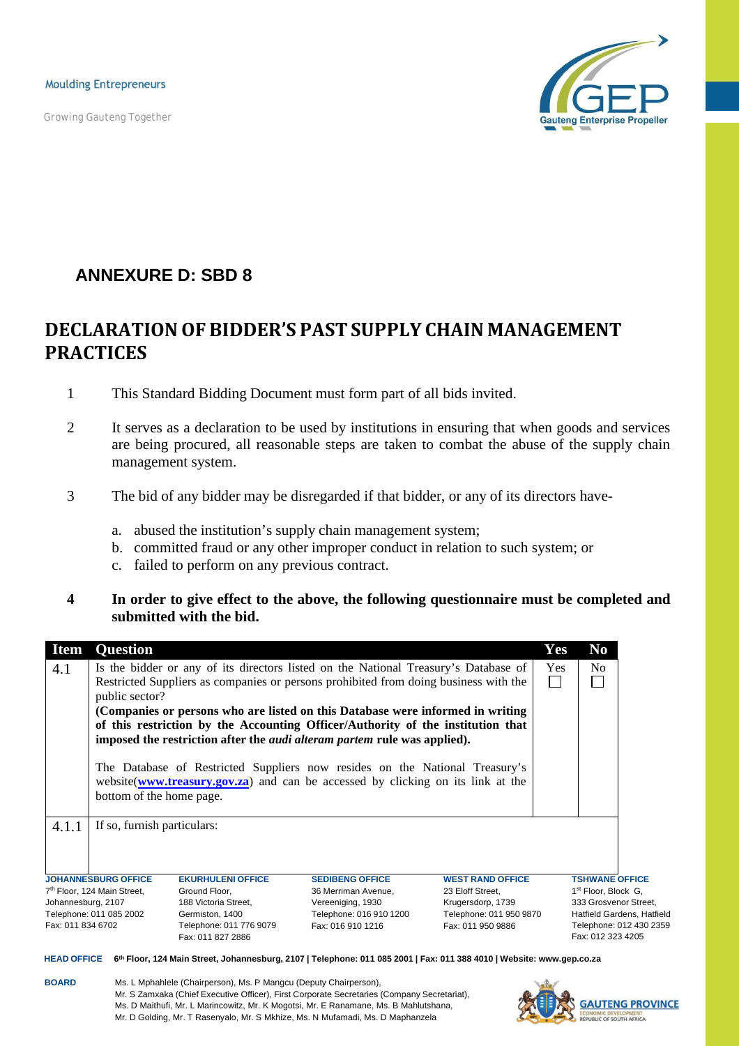*Growing Gauteng Together*



# **ANNEXURE D: SBD 8**

# **DECLARATIONOF BIDDER'S PASTSUPPLY CHAIN MANAGEMENT PRACTICES**

- 1 This Standard Bidding Document must form part of all bids invited.
- 2 It serves as a declaration to be used by institutions in ensuring that when goods and services are being procured, all reasonable steps are taken to combat the abuse of the supply chain management system.
- 3 The bid of any bidder may be disregarded if that bidder, or any of its directors have
	- a. abused the institution's supply chain management system;
	- b. committed fraud or any other improper conduct in relation to such system; or
	- c. failed to perform on any previous contract.
- **4 In order to give effect to the above, the following questionnaire must be completed and submitted with the bid.**

| <b>Item</b>                                                                                                                                                                                | <b>Question</b>                         |                          |                                                                                      |                         | Yes                     | N <sub>o</sub>                  |  |
|--------------------------------------------------------------------------------------------------------------------------------------------------------------------------------------------|-----------------------------------------|--------------------------|--------------------------------------------------------------------------------------|-------------------------|-------------------------|---------------------------------|--|
| 4.1                                                                                                                                                                                        |                                         |                          | Is the bidder or any of its directors listed on the National Treasury's Database of  |                         | Yes                     | No                              |  |
|                                                                                                                                                                                            | public sector?                          |                          | Restricted Suppliers as companies or persons prohibited from doing business with the |                         |                         |                                 |  |
|                                                                                                                                                                                            |                                         |                          | (Companies or persons who are listed on this Database were informed in writing       |                         |                         |                                 |  |
|                                                                                                                                                                                            |                                         |                          | of this restriction by the Accounting Officer/Authority of the institution that      |                         |                         |                                 |  |
|                                                                                                                                                                                            |                                         |                          | imposed the restriction after the <i>audi alteram partem</i> rule was applied).      |                         |                         |                                 |  |
| The Database of Restricted Suppliers now resides on the National Treasury's<br>website(www.treasury.gov.za) and can be accessed by clicking on its link at the<br>bottom of the home page. |                                         |                          |                                                                                      |                         |                         |                                 |  |
| 4.1.1                                                                                                                                                                                      | If so, furnish particulars:             |                          |                                                                                      |                         |                         |                                 |  |
|                                                                                                                                                                                            |                                         |                          |                                                                                      |                         |                         |                                 |  |
|                                                                                                                                                                                            |                                         |                          |                                                                                      |                         |                         |                                 |  |
|                                                                                                                                                                                            | <b>JOHANNESBURG OFFICE</b>              | <b>EKURHULENI OFFICE</b> | <b>SEDIBENG OFFICE</b>                                                               | <b>WEST RAND OFFICE</b> |                         | <b>TSHWANE OFFICE</b>           |  |
|                                                                                                                                                                                            | 7 <sup>th</sup> Floor, 124 Main Street, | Ground Floor,            | 36 Merriman Avenue.                                                                  | 23 Eloff Street,        |                         | 1 <sup>st</sup> Floor, Block G, |  |
| Johannesburg, 2107                                                                                                                                                                         |                                         | 188 Victoria Street,     | Vereeniging, 1930                                                                    | Krugersdorp, 1739       |                         | 333 Grosvenor Street,           |  |
|                                                                                                                                                                                            | Telephone: 011 085 2002                 | Germiston, 1400          | Telephone: 016 910 1200                                                              | Telephone: 011 950 9870 |                         | Hatfield Gardens, Hatfield      |  |
| Fax: 016 910 1216<br>Fax: 011 834 6702<br>Telephone: 011 776 9079<br>Fax: 011 950 9886                                                                                                     |                                         |                          |                                                                                      |                         | Telephone: 012 430 2359 |                                 |  |

HEAD OFFICE 6th Floor, 124 Main Street, Johannesburg, 2107 | Telephone: 011 085 2001 | Fax: 011 388 4010 | Website: [www.gep.co.za](http://www.gep.co.za/)

**BOARD** Ms. L Mphahlele (Chairperson), Ms. P Mangcu (Deputy Chairperson), Mr. S Zamxaka (Chief Executive Officer), First Corporate Secretaries (Company Secretariat), Ms. D Maithufi, Mr. L Marincowitz, Mr. K Mogotsi, Mr. E Ranamane, Ms. B Mahlutshana, Mr. D Golding, Mr. T Rasenyalo, Mr. S Mkhize, Ms. N Mufamadi, Ms. D Maphanzela

Fax: 011 827 2886



Fax: 012 323 4205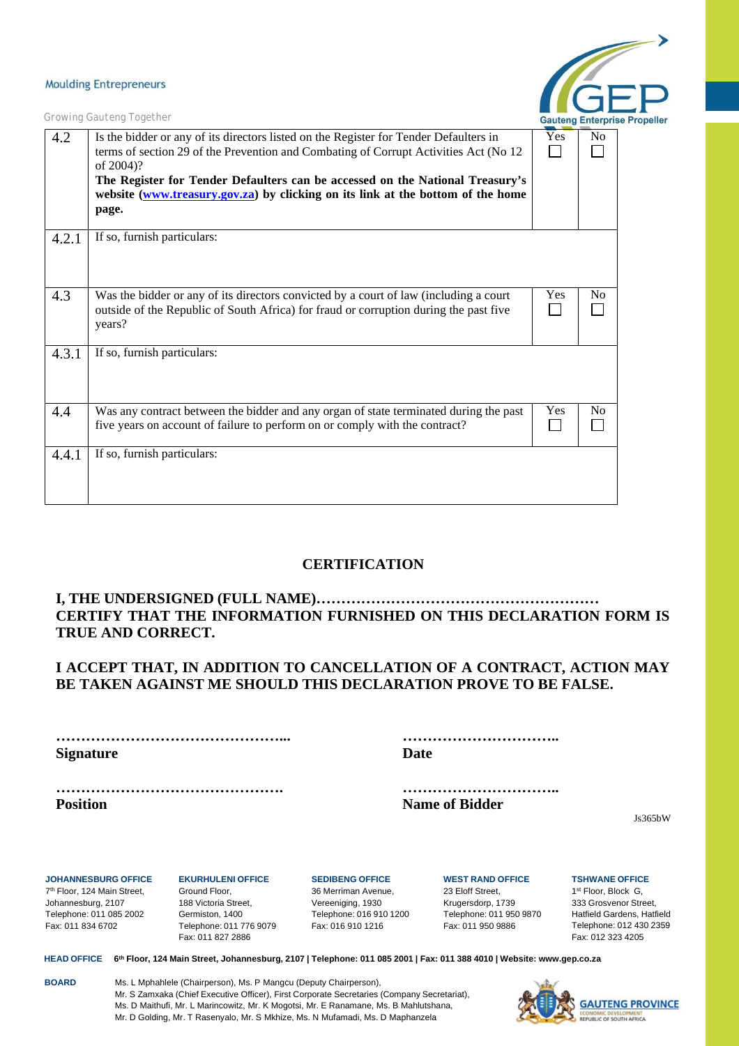

*Growing Gauteng Together*

| 4.2   | Is the bidder or any of its directors listed on the Register for Tender Defaulters in<br>terms of section 29 of the Prevention and Combating of Corrupt Activities Act (No 12<br>of 2004)?<br>The Register for Tender Defaulters can be accessed on the National Treasury's<br>website (www.treasury.gov.za) by clicking on its link at the bottom of the home<br>page. | Yes | No             |
|-------|-------------------------------------------------------------------------------------------------------------------------------------------------------------------------------------------------------------------------------------------------------------------------------------------------------------------------------------------------------------------------|-----|----------------|
| 4.2.1 | If so, furnish particulars:                                                                                                                                                                                                                                                                                                                                             |     |                |
| 4.3   | Was the bidder or any of its directors convicted by a court of law (including a court<br>outside of the Republic of South Africa) for fraud or corruption during the past five<br>years?                                                                                                                                                                                | Yes | N <sub>0</sub> |
| 4.3.1 | If so, furnish particulars:                                                                                                                                                                                                                                                                                                                                             |     |                |
| 4.4   | Was any contract between the bidder and any organ of state terminated during the past<br>five years on account of failure to perform on or comply with the contract?                                                                                                                                                                                                    | Yes | N <sub>0</sub> |
| 4.4.1 | If so, furnish particulars:                                                                                                                                                                                                                                                                                                                                             |     |                |

## **CERTIFICATION**

### **I, THE UNDERSIGNED (FULL NAME)………………………………………………… CERTIFY THAT THE INFORMATION FURNISHED ON THIS DECLARATION FORM IS TRUE AND CORRECT.**

### **I ACCEPT THAT, IN ADDITION TO CANCELLATION OF A CONTRACT, ACTION MAY BE TAKEN AGAINST ME SHOULD THIS DECLARATION PROVE TO BE FALSE.**

**………………………………………... ………………………….. Signature Date**

**………………………………………. ………………………….. Position Name** of Bidder

Js365bW

**JOHANNESBURG OFFICE** 7th Floor, 124 Main Street, Johannesburg, 2107 Telephone: 011 085 2002 Fax: 011 834 6702

**EKURHULENI OFFICE** Ground Floor, 188 Victoria Street, Germiston, 1400 Telephone: 011 776 9079 Fax: 011 827 2886

**SEDIBENG OFFICE** 36 Merriman Avenue, Vereeniging, 1930 Telephone: 016 910 1200 Fax: 016 910 1216

**WEST RAND OFFICE** 23 Eloff Street, Krugersdorp, 1739 Telephone: 011 950 9870 Fax: 011 950 9886

**TSHWANE OFFICE** 1st Floor, Block G, 333 Grosvenor Street, Hatfield Gardens, Hatfield Telephone: 012 430 2359 Fax: 012 323 4205

HEAD OFFICE 6th Floor, 124 Main Street, Johannesburg, 2107 | Telephone: 011 085 2001 | Fax: 011 388 4010 | Website: [www.gep.co.za](http://www.gep.co.za/)

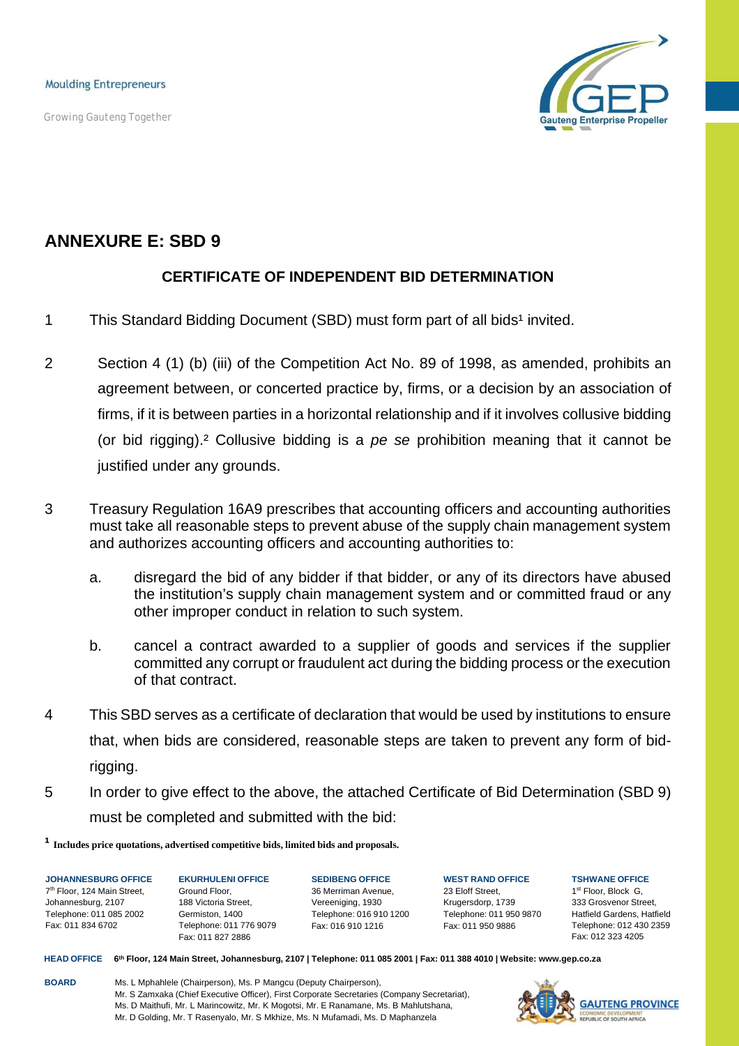*Growing Gauteng Together*



# **ANNEXURE E: SBD 9**

## **CERTIFICATE OF INDEPENDENT BID DETERMINATION**

- 1 This Standard Bidding Document (SBD) must form part of all bids<sup>1</sup> invited.
- 2 Section 4 (1) (b) (iii) of the Competition Act No. 89 of 1998, as amended, prohibits an agreement between, or concerted practice by, firms, or a decision by an association of firms, if it is between parties in a horizontal relationship and if it involves collusive bidding (or bid rigging).² Collusive bidding is a *pe se* prohibition meaning that it cannot be justified under any grounds.
- 3 Treasury Regulation 16A9 prescribes that accounting officers and accounting authorities must take all reasonable steps to prevent abuse of the supply chain management system and authorizes accounting officers and accounting authorities to:
	- a. disregard the bid of any bidder if that bidder, or any of its directors have abused the institution's supply chain management system and or committed fraud or any other improper conduct in relation to such system.
	- b. cancel a contract awarded to a supplier of goods and services if the supplier committed any corrupt or fraudulent act during the bidding process or the execution of that contract.
- 4 This SBD serves as a certificate of declaration that would be used by institutions to ensure that, when bids are considered, reasonable steps are taken to prevent any form of bidrigging.
- 5 In order to give effect to the above, the attached Certificate of Bid Determination (SBD 9) must be completed and submitted with the bid:

**¹ Includes price quotations, advertised competitive bids, limited bids and proposals.**

**JOHANNESBURG OFFICE** 7th Floor, 124 Main Street, Johannesburg, 2107 Telephone: 011 085 2002 Fax: 011 834 6702

**EKURHULENI OFFICE** Ground Floor, 188 Victoria Street, Germiston, 1400 Telephone: 011 776 9079 Fax: 011 827 2886

**SEDIBENG OFFICE** 36 Merriman Avenue, Vereeniging, 1930 Telephone: 016 910 1200 Fax: 016 910 1216

**WEST RAND OFFICE** 23 Eloff Street, Krugersdorp, 1739 Telephone: 011 950 9870 Fax: 011 950 9886

**TSHWANE OFFICE** 1st Floor, Block G. 333 Grosvenor Street, Hatfield Gardens, Hatfield Telephone: 012 430 2359 Fax: 012 323 4205

HEAD OFFICE 6th Floor, 124 Main Street, Johannesburg, 2107 | Telephone: 011 085 2001 | Fax: 011 388 4010 | Website: [www.gep.co.za](http://www.gep.co.za/)

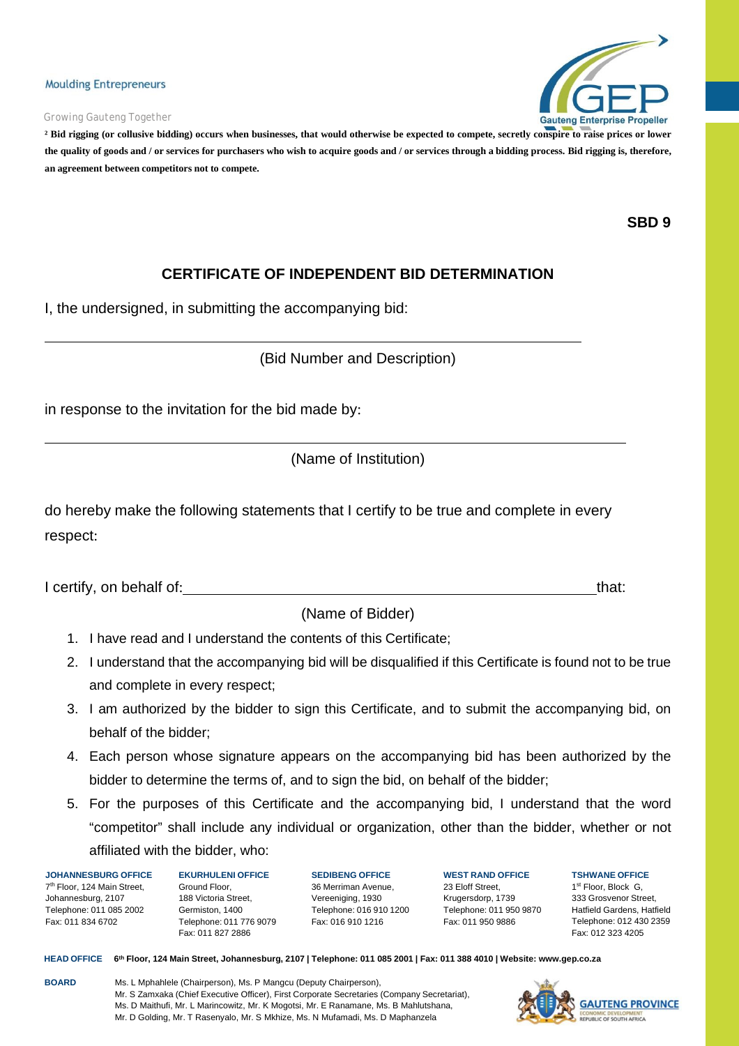#### *Growing Gauteng Together*



**² Bid rigging (or collusive bidding) occurs when businesses, that would otherwise be expected to compete, secretly conspire to raise prices or lower** the quality of goods and / or services for purchasers who wish to acquire goods and / or services through a bidding process. Bid rigging is, therefore, **an agreement between competitors not to compete.**

**SBD 9**

## **CERTIFICATE OF INDEPENDENT BID DETERMINATION**

I, the undersigned, in submitting the accompanying bid:

(Bid Number and Description)

in response to the invitation for the bid made by:

(Name of Institution)

do hereby make the following statements that I certify to be true and complete in every respect:

I certify, on behalf of: that: that: that: that: that: that: that: that: that: that: that: that: that: that: that: that: that: that: that: that: that: that: that: that: that: that: that: that: that: that: that: that: that:

(Name of Bidder)

- 1. I have read and I understand the contents of this Certificate;
- 2. I understand that the accompanying bid will be disqualified if this Certificate is found not to be true and complete in every respect;
- 3. I am authorized by the bidder to sign this Certificate, and to submit the accompanying bid, on behalf of the bidder;
- 4. Each person whose signature appears on the accompanying bid has been authorized by the bidder to determine the terms of, and to sign the bid, on behalf of the bidder;
- 5. For the purposes of this Certificate and the accompanying bid, I understand that the word "competitor" shall include any individual or organization, other than the bidder, whether or not affiliated with the bidder, who:

**JOHANNESBURG OFFICE** 7th Floor, 124 Main Street, Johannesburg, 2107 Telephone: 011 085 2002 Fax: 011 834 6702

**EKURHULENI OFFICE** Ground Floor, 188 Victoria Street, Germiston, 1400 Telephone: 011 776 9079 Fax: 011 827 2886

**SEDIBENG OFFICE** 36 Merriman Avenue, Vereeniging, 1930 Telephone: 016 910 1200 Fax: 016 910 1216

**WEST RAND OFFICE** 23 Eloff Street, Krugersdorp, 1739 Telephone: 011 950 9870 Fax: 011 950 9886

**TSHWANE OFFICE** 1st Floor, Block G. 333 Grosvenor Street, Hatfield Gardens, Hatfield Telephone: 012 430 2359 Fax: 012 323 4205

HEAD OFFICE 6th Floor, 124 Main Street, Johannesburg, 2107 | Telephone: 011 085 2001 | Fax: 011 388 4010 | Website: [www.gep.co.za](http://www.gep.co.za/)

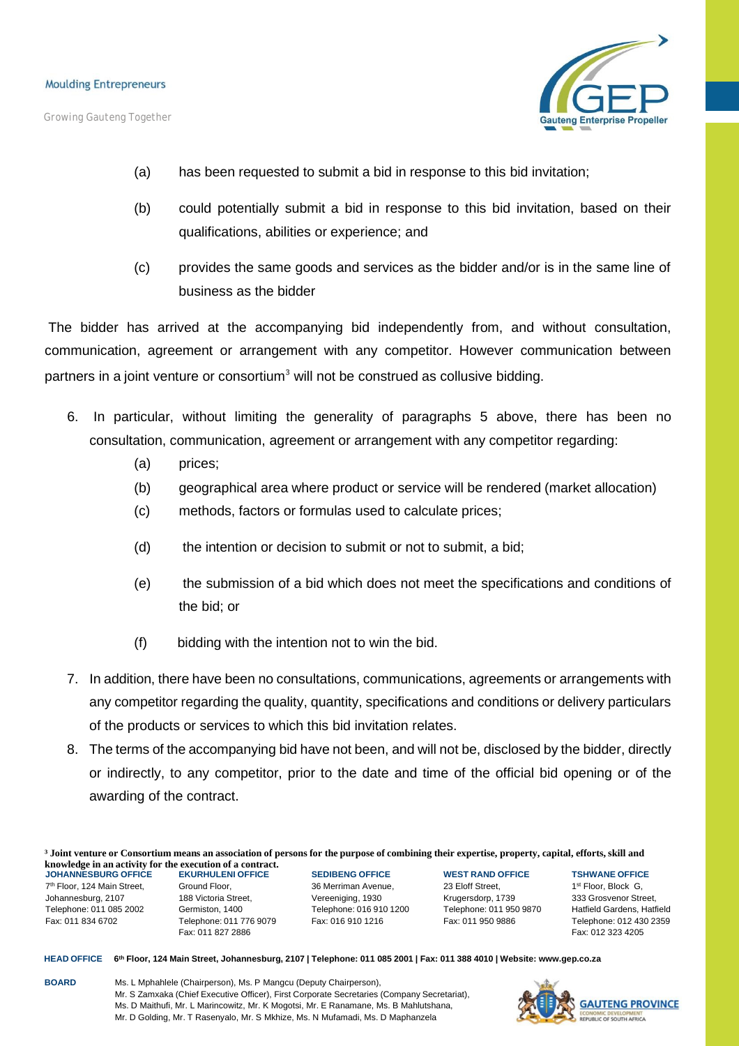*Growing Gauteng Together*



- (a) has been requested to submit a bid in response to this bid invitation;
- (b) could potentially submit a bid in response to this bid invitation, based on their qualifications, abilities or experience; and
- (c) provides the same goods and services as the bidder and/or is in the same line of business as the bidder

The bidder has arrived at the accompanying bid independently from, and without consultation, communication, agreement or arrangement with any competitor. However communication between partners in a joint venture or consortium<sup>3</sup> will not be construed as collusive bidding.

- 6. In particular, without limiting the generality of paragraphs 5 above, there has been no consultation, communication, agreement or arrangement with any competitor regarding:
	- (a) prices;
	- (b) geographical area where product or service will be rendered (market allocation)
	- (c) methods, factors or formulas used to calculate prices;
	- (d) the intention or decision to submit or not to submit, a bid;
	- (e) the submission of a bid which does not meet the specifications and conditions of the bid; or
	- (f) bidding with the intention not to win the bid.
- 7. In addition, there have been no consultations, communications, agreements or arrangements with any competitor regarding the quality, quantity, specifications and conditions or delivery particulars of the products or services to which this bid invitation relates.
- 8. The terms of the accompanying bid have not been, and will not be, disclosed by the bidder, directly or indirectly, to any competitor, prior to the date and time of the official bid opening or of the awarding of the contract.

<sup>3</sup> Joint venture or Consortium means an association of persons for the purpose of combining their expertise, property, capital, efforts, skill and **knowledge in an activity for the execution of a contract.**

**JOHANNESBURG OFFICE** 7th Floor, 124 Main Street, Johannesburg, 2107 Telephone: 011 085 2002 Fax: 011 834 6702

**EKURHULENI OFFICE** Ground Floor, 188 Victoria Street, Germiston, 1400 Telephone: 011 776 9079 Fax: 011 827 2886

**SEDIBENG OFFICE** 36 Merriman Avenue, Vereeniging, 1930 Telephone: 016 910 1200 Fax: 016 910 1216

**WEST RAND OFFICE** 23 Eloff Street, Krugersdorp, 1739 Telephone: 011 950 9870 Fax: 011 950 9886

**TSHWANE OFFICE** 1st Floor, Block G, 333 Grosvenor Street, Hatfield Gardens, Hatfield Telephone: 012 430 2359 Fax: 012 323 4205

HEAD OFFICE 6th Floor, 124 Main Street, Johannesburg, 2107 | Telephone: 011 085 2001 | Fax: 011 388 4010 | Website: [www.gep.co.za](http://www.gep.co.za/)